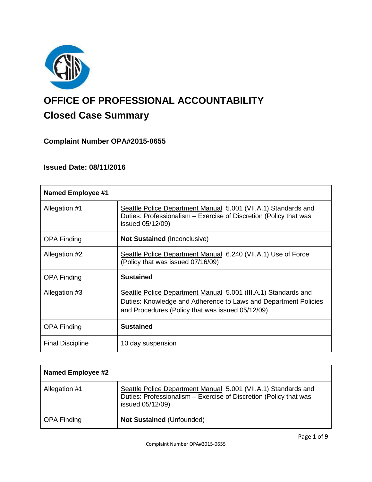

# **OFFICE OF PROFESSIONAL ACCOUNTABILITY Closed Case Summary**

# **Complaint Number OPA#2015-0655**

# **Issued Date: 08/11/2016**

| <b>Named Employee #1</b> |                                                                                                                                                                                       |
|--------------------------|---------------------------------------------------------------------------------------------------------------------------------------------------------------------------------------|
| Allegation #1            | Seattle Police Department Manual 5.001 (VII.A.1) Standards and<br>Duties: Professionalism - Exercise of Discretion (Policy that was<br>issued 05/12/09)                               |
| <b>OPA Finding</b>       | <b>Not Sustained (Inconclusive)</b>                                                                                                                                                   |
| Allegation #2            | Seattle Police Department Manual 6.240 (VII.A.1) Use of Force<br>(Policy that was issued 07/16/09)                                                                                    |
| <b>OPA Finding</b>       | <b>Sustained</b>                                                                                                                                                                      |
| Allegation #3            | Seattle Police Department Manual 5.001 (III.A.1) Standards and<br>Duties: Knowledge and Adherence to Laws and Department Policies<br>and Procedures (Policy that was issued 05/12/09) |
| <b>OPA Finding</b>       | <b>Sustained</b>                                                                                                                                                                      |
| <b>Final Discipline</b>  | 10 day suspension                                                                                                                                                                     |

| <b>Named Employee #2</b> |                                                                                                                                                         |
|--------------------------|---------------------------------------------------------------------------------------------------------------------------------------------------------|
| Allegation #1            | Seattle Police Department Manual 5.001 (VII.A.1) Standards and<br>Duties: Professionalism - Exercise of Discretion (Policy that was<br>issued 05/12/09) |
| <b>OPA Finding</b>       | <b>Not Sustained (Unfounded)</b>                                                                                                                        |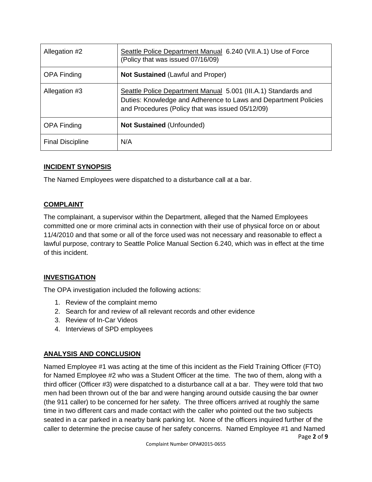| Allegation #2           | Seattle Police Department Manual 6.240 (VII.A.1) Use of Force<br>(Policy that was issued 07/16/09)                                                                                    |
|-------------------------|---------------------------------------------------------------------------------------------------------------------------------------------------------------------------------------|
| <b>OPA Finding</b>      | <b>Not Sustained (Lawful and Proper)</b>                                                                                                                                              |
| Allegation #3           | Seattle Police Department Manual 5.001 (III.A.1) Standards and<br>Duties: Knowledge and Adherence to Laws and Department Policies<br>and Procedures (Policy that was issued 05/12/09) |
| <b>OPA Finding</b>      | <b>Not Sustained (Unfounded)</b>                                                                                                                                                      |
| <b>Final Discipline</b> | N/A                                                                                                                                                                                   |

## **INCIDENT SYNOPSIS**

The Named Employees were dispatched to a disturbance call at a bar.

## **COMPLAINT**

The complainant, a supervisor within the Department, alleged that the Named Employees committed one or more criminal acts in connection with their use of physical force on or about 11/4/2010 and that some or all of the force used was not necessary and reasonable to effect a lawful purpose, contrary to Seattle Police Manual Section 6.240, which was in effect at the time of this incident.

## **INVESTIGATION**

The OPA investigation included the following actions:

- 1. Review of the complaint memo
- 2. Search for and review of all relevant records and other evidence
- 3. Review of In-Car Videos
- 4. Interviews of SPD employees

## **ANALYSIS AND CONCLUSION**

Page **2** of **9** Named Employee #1 was acting at the time of this incident as the Field Training Officer (FTO) for Named Employee #2 who was a Student Officer at the time. The two of them, along with a third officer (Officer #3) were dispatched to a disturbance call at a bar. They were told that two men had been thrown out of the bar and were hanging around outside causing the bar owner (the 911 caller) to be concerned for her safety. The three officers arrived at roughly the same time in two different cars and made contact with the caller who pointed out the two subjects seated in a car parked in a nearby bank parking lot. None of the officers inquired further of the caller to determine the precise cause of her safety concerns. Named Employee #1 and Named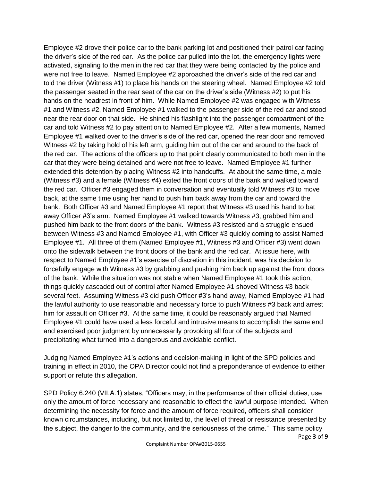Employee #2 drove their police car to the bank parking lot and positioned their patrol car facing the driver's side of the red car. As the police car pulled into the lot, the emergency lights were activated, signaling to the men in the red car that they were being contacted by the police and were not free to leave. Named Employee #2 approached the driver's side of the red car and told the driver (Witness #1) to place his hands on the steering wheel. Named Employee #2 told the passenger seated in the rear seat of the car on the driver's side (Witness #2) to put his hands on the headrest in front of him. While Named Employee #2 was engaged with Witness #1 and Witness #2, Named Employee #1 walked to the passenger side of the red car and stood near the rear door on that side. He shined his flashlight into the passenger compartment of the car and told Witness #2 to pay attention to Named Employee #2. After a few moments, Named Employee #1 walked over to the driver's side of the red car, opened the rear door and removed Witness #2 by taking hold of his left arm, guiding him out of the car and around to the back of the red car. The actions of the officers up to that point clearly communicated to both men in the car that they were being detained and were not free to leave. Named Employee #1 further extended this detention by placing Witness #2 into handcuffs. At about the same time, a male (Witness #3) and a female (Witness #4) exited the front doors of the bank and walked toward the red car. Officer #3 engaged them in conversation and eventually told Witness #3 to move back, at the same time using her hand to push him back away from the car and toward the bank. Both Officer #3 and Named Employee #1 report that Witness #3 used his hand to bat away Officer #3's arm. Named Employee #1 walked towards Witness #3, grabbed him and pushed him back to the front doors of the bank. Witness #3 resisted and a struggle ensued between Witness #3 and Named Employee #1, with Officer #3 quickly coming to assist Named Employee #1. All three of them (Named Employee #1, Witness #3 and Officer #3) went down onto the sidewalk between the front doors of the bank and the red car. At issue here, with respect to Named Employee #1's exercise of discretion in this incident, was his decision to forcefully engage with Witness #3 by grabbing and pushing him back up against the front doors of the bank. While the situation was not stable when Named Employee #1 took this action, things quickly cascaded out of control after Named Employee #1 shoved Witness #3 back several feet. Assuming Witness #3 did push Officer #3's hand away, Named Employee #1 had the lawful authority to use reasonable and necessary force to push Witness #3 back and arrest him for assault on Officer #3. At the same time, it could be reasonably argued that Named Employee #1 could have used a less forceful and intrusive means to accomplish the same end and exercised poor judgment by unnecessarily provoking all four of the subjects and precipitating what turned into a dangerous and avoidable conflict.

Judging Named Employee #1's actions and decision-making in light of the SPD policies and training in effect in 2010, the OPA Director could not find a preponderance of evidence to either support or refute this allegation.

SPD Policy 6.240 (VII.A.1) states, "Officers may, in the performance of their official duties, use only the amount of force necessary and reasonable to effect the lawful purpose intended. When determining the necessity for force and the amount of force required, officers shall consider known circumstances, including, but not limited to, the level of threat or resistance presented by the subject, the danger to the community, and the seriousness of the crime." This same policy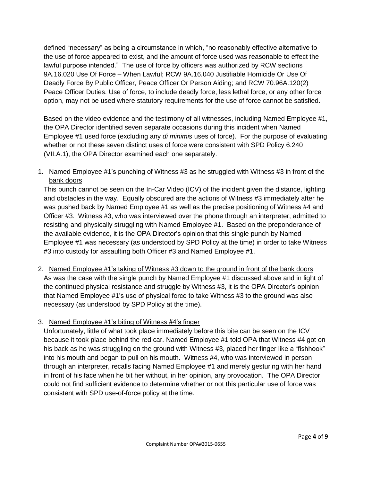defined "necessary" as being a circumstance in which, "no reasonably effective alternative to the use of force appeared to exist, and the amount of force used was reasonable to effect the lawful purpose intended." The use of force by officers was authorized by RCW sections 9A.16.020 Use Of Force – When Lawful; RCW 9A.16.040 Justifiable Homicide Or Use Of Deadly Force By Public Officer, Peace Officer Or Person Aiding; and RCW 70.96A.120(2) Peace Officer Duties. Use of force, to include deadly force, less lethal force, or any other force option, may not be used where statutory requirements for the use of force cannot be satisfied.

Based on the video evidence and the testimony of all witnesses, including Named Employee #1, the OPA Director identified seven separate occasions during this incident when Named Employee #1 used force (excluding any *di minimis* uses of force). For the purpose of evaluating whether or not these seven distinct uses of force were consistent with SPD Policy 6.240 (VII.A.1), the OPA Director examined each one separately.

1. Named Employee #1's punching of Witness #3 as he struggled with Witness #3 in front of the bank doors

This punch cannot be seen on the In-Car Video (ICV) of the incident given the distance, lighting and obstacles in the way. Equally obscured are the actions of Witness #3 immediately after he was pushed back by Named Employee #1 as well as the precise positioning of Witness #4 and Officer #3. Witness #3, who was interviewed over the phone through an interpreter, admitted to resisting and physically struggling with Named Employee #1. Based on the preponderance of the available evidence, it is the OPA Director's opinion that this single punch by Named Employee #1 was necessary (as understood by SPD Policy at the time) in order to take Witness #3 into custody for assaulting both Officer #3 and Named Employee #1.

2. Named Employee #1's taking of Witness #3 down to the ground in front of the bank doors As was the case with the single punch by Named Employee #1 discussed above and in light of the continued physical resistance and struggle by Witness #3, it is the OPA Director's opinion that Named Employee #1's use of physical force to take Witness #3 to the ground was also necessary (as understood by SPD Policy at the time).

## 3. Named Employee #1's biting of Witness #4's finger

Unfortunately, little of what took place immediately before this bite can be seen on the ICV because it took place behind the red car. Named Employee #1 told OPA that Witness #4 got on his back as he was struggling on the ground with Witness #3, placed her finger like a "fishhook" into his mouth and began to pull on his mouth. Witness #4, who was interviewed in person through an interpreter, recalls facing Named Employee #1 and merely gesturing with her hand in front of his face when he bit her without, in her opinion, any provocation. The OPA Director could not find sufficient evidence to determine whether or not this particular use of force was consistent with SPD use-of-force policy at the time.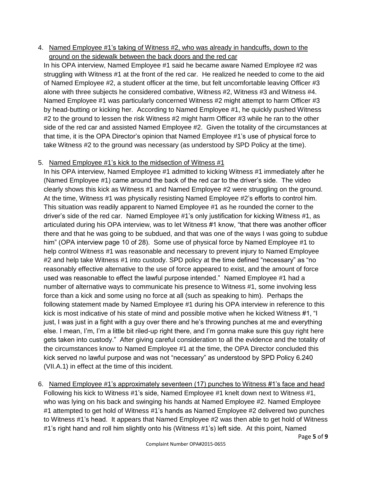4. Named Employee #1's taking of Witness #2, who was already in handcuffs, down to the ground on the sidewalk between the back doors and the red car

In his OPA interview, Named Employee #1 said he became aware Named Employee #2 was struggling with Witness #1 at the front of the red car. He realized he needed to come to the aid of Named Employee #2, a student officer at the time, but felt uncomfortable leaving Officer #3 alone with three subjects he considered combative, Witness #2, Witness #3 and Witness #4. Named Employee #1 was particularly concerned Witness #2 might attempt to harm Officer #3 by head-butting or kicking her. According to Named Employee #1, he quickly pushed Witness #2 to the ground to lessen the risk Witness #2 might harm Officer #3 while he ran to the other side of the red car and assisted Named Employee #2. Given the totality of the circumstances at that time, it is the OPA Director's opinion that Named Employee #1's use of physical force to take Witness #2 to the ground was necessary (as understood by SPD Policy at the time).

## 5. Named Employee #1's kick to the midsection of Witness #1

In his OPA interview, Named Employee #1 admitted to kicking Witness #1 immediately after he (Named Employee #1) came around the back of the red car to the driver's side. The video clearly shows this kick as Witness #1 and Named Employee #2 were struggling on the ground. At the time, Witness #1 was physically resisting Named Employee #2's efforts to control him. This situation was readily apparent to Named Employee #1 as he rounded the corner to the driver's side of the red car. Named Employee #1's only justification for kicking Witness #1, as articulated during his OPA interview, was to let Witness #1 know, "that there was another officer there and that he was going to be subdued, and that was one of the ways I was going to subdue him" (OPA interview page 10 of 28). Some use of physical force by Named Employee #1 to help control Witness #1 was reasonable and necessary to prevent injury to Named Employee #2 and help take Witness #1 into custody. SPD policy at the time defined "necessary" as "no reasonably effective alternative to the use of force appeared to exist, and the amount of force used was reasonable to effect the lawful purpose intended." Named Employee #1 had a number of alternative ways to communicate his presence to Witness #1, some involving less force than a kick and some using no force at all (such as speaking to him). Perhaps the following statement made by Named Employee #1 during his OPA interview in reference to this kick is most indicative of his state of mind and possible motive when he kicked Witness #1, "I just, I was just in a fight with a guy over there and he's throwing punches at me and everything else. I mean, I'm, I'm a little bit riled-up right there, and I'm gonna make sure this guy right here gets taken into custody." After giving careful consideration to all the evidence and the totality of the circumstances know to Named Employee #1 at the time, the OPA Director concluded this kick served no lawful purpose and was not "necessary" as understood by SPD Policy 6.240 (VII.A.1) in effect at the time of this incident.

6. Named Employee #1's approximately seventeen (17) punches to Witness #1's face and head Following his kick to Witness #1's side, Named Employee #1 knelt down next to Witness #1, who was lying on his back and swinging his hands at Named Employee #2. Named Employee #1 attempted to get hold of Witness #1's hands as Named Employee #2 delivered two punches to Witness #1's head. It appears that Named Employee #2 was then able to get hold of Witness #1's right hand and roll him slightly onto his (Witness #1's) left side. At this point, Named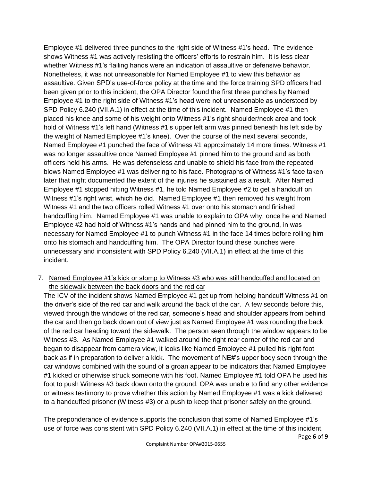Employee #1 delivered three punches to the right side of Witness #1's head. The evidence shows Witness #1 was actively resisting the officers' efforts to restrain him. It is less clear whether Witness #1's flailing hands were an indication of assaultive or defensive behavior. Nonetheless, it was not unreasonable for Named Employee #1 to view this behavior as assaultive. Given SPD's use-of-force policy at the time and the force training SPD officers had been given prior to this incident, the OPA Director found the first three punches by Named Employee #1 to the right side of Witness #1's head were not unreasonable as understood by SPD Policy 6.240 (VII.A.1) in effect at the time of this incident. Named Employee #1 then placed his knee and some of his weight onto Witness #1's right shoulder/neck area and took hold of Witness #1's left hand (Witness #1's upper left arm was pinned beneath his left side by the weight of Named Employee #1's knee). Over the course of the next several seconds, Named Employee #1 punched the face of Witness #1 approximately 14 more times. Witness #1 was no longer assaultive once Named Employee #1 pinned him to the ground and as both officers held his arms. He was defenseless and unable to shield his face from the repeated blows Named Employee #1 was delivering to his face. Photographs of Witness #1's face taken later that night documented the extent of the injuries he sustained as a result. After Named Employee #1 stopped hitting Witness #1, he told Named Employee #2 to get a handcuff on Witness #1's right wrist, which he did. Named Employee #1 then removed his weight from Witness #1 and the two officers rolled Witness #1 over onto his stomach and finished handcuffing him. Named Employee #1 was unable to explain to OPA why, once he and Named Employee #2 had hold of Witness #1's hands and had pinned him to the ground, in was necessary for Named Employee #1 to punch Witness #1 in the face 14 times before rolling him onto his stomach and handcuffing him. The OPA Director found these punches were unnecessary and inconsistent with SPD Policy 6.240 (VII.A.1) in effect at the time of this incident.

7. Named Employee #1's kick or stomp to Witness #3 who was still handcuffed and located on the sidewalk between the back doors and the red car

The ICV of the incident shows Named Employee #1 get up from helping handcuff Witness #1 on the driver's side of the red car and walk around the back of the car. A few seconds before this, viewed through the windows of the red car, someone's head and shoulder appears from behind the car and then go back down out of view just as Named Employee #1 was rounding the back of the red car heading toward the sidewalk. The person seen through the window appears to be Witness #3. As Named Employee #1 walked around the right rear corner of the red car and began to disappear from camera view, it looks like Named Employee #1 pulled his right foot back as if in preparation to deliver a kick. The movement of NE#'s upper body seen through the car windows combined with the sound of a groan appear to be indicators that Named Employee #1 kicked or otherwise struck someone with his foot. Named Employee #1 told OPA he used his foot to push Witness #3 back down onto the ground. OPA was unable to find any other evidence or witness testimony to prove whether this action by Named Employee #1 was a kick delivered to a handcuffed prisoner (Witness #3) or a push to keep that prisoner safely on the ground.

The preponderance of evidence supports the conclusion that some of Named Employee #1's use of force was consistent with SPD Policy 6.240 (VII.A.1) in effect at the time of this incident.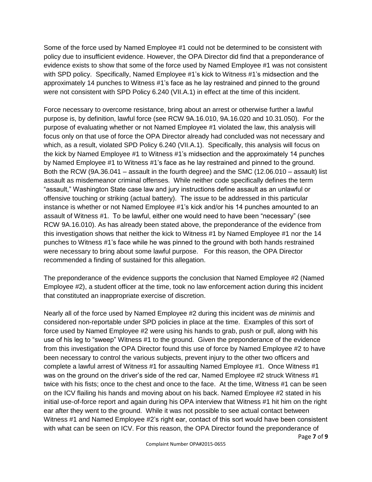Some of the force used by Named Employee #1 could not be determined to be consistent with policy due to insufficient evidence. However, the OPA Director did find that a preponderance of evidence exists to show that some of the force used by Named Employee #1 was not consistent with SPD policy. Specifically, Named Employee #1's kick to Witness #1's midsection and the approximately 14 punches to Witness #1's face as he lay restrained and pinned to the ground were not consistent with SPD Policy 6.240 (VII.A.1) in effect at the time of this incident.

Force necessary to overcome resistance, bring about an arrest or otherwise further a lawful purpose is, by definition, lawful force (see RCW 9A.16.010, 9A.16.020 and 10.31.050). For the purpose of evaluating whether or not Named Employee #1 violated the law, this analysis will focus only on that use of force the OPA Director already had concluded was not necessary and which, as a result, violated SPD Policy 6.240 (VII.A.1). Specifically, this analysis will focus on the kick by Named Employee #1 to Witness #1's midsection and the approximately 14 punches by Named Employee #1 to Witness #1's face as he lay restrained and pinned to the ground. Both the RCW (9A.36.041 – assault in the fourth degree) and the SMC (12.06.010 – assault) list assault as misdemeanor criminal offenses. While neither code specifically defines the term "assault," Washington State case law and jury instructions define assault as an unlawful or offensive touching or striking (actual battery). The issue to be addressed in this particular instance is whether or not Named Employee #1's kick and/or his 14 punches amounted to an assault of Witness #1. To be lawful, either one would need to have been "necessary" (see RCW 9A.16.010). As has already been stated above, the preponderance of the evidence from this investigation shows that neither the kick to Witness #1 by Named Employee #1 nor the 14 punches to Witness #1's face while he was pinned to the ground with both hands restrained were necessary to bring about some lawful purpose. For this reason, the OPA Director recommended a finding of sustained for this allegation.

The preponderance of the evidence supports the conclusion that Named Employee #2 (Named Employee #2), a student officer at the time, took no law enforcement action during this incident that constituted an inappropriate exercise of discretion.

Nearly all of the force used by Named Employee #2 during this incident was *de minimis* and considered non-reportable under SPD policies in place at the time. Examples of this sort of force used by Named Employee #2 were using his hands to grab, push or pull, along with his use of his leg to "sweep" Witness #1 to the ground. Given the preponderance of the evidence from this investigation the OPA Director found this use of force by Named Employee #2 to have been necessary to control the various subjects, prevent injury to the other two officers and complete a lawful arrest of Witness #1 for assaulting Named Employee #1. Once Witness #1 was on the ground on the driver's side of the red car, Named Employee #2 struck Witness #1 twice with his fists; once to the chest and once to the face. At the time, Witness #1 can be seen on the ICV flailing his hands and moving about on his back. Named Employee #2 stated in his initial use-of-force report and again during his OPA interview that Witness #1 hit him on the right ear after they went to the ground. While it was not possible to see actual contact between Witness #1 and Named Employee #2's right ear, contact of this sort would have been consistent with what can be seen on ICV. For this reason, the OPA Director found the preponderance of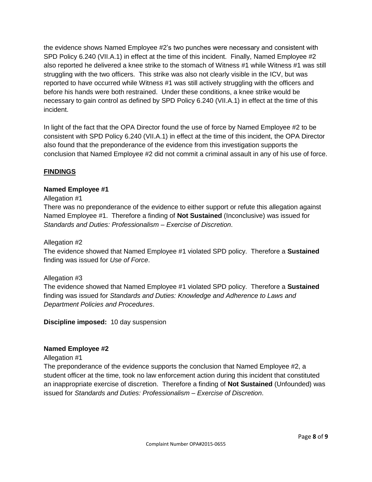the evidence shows Named Employee #2's two punches were necessary and consistent with SPD Policy 6.240 (VII.A.1) in effect at the time of this incident. Finally, Named Employee #2 also reported he delivered a knee strike to the stomach of Witness #1 while Witness #1 was still struggling with the two officers. This strike was also not clearly visible in the ICV, but was reported to have occurred while Witness #1 was still actively struggling with the officers and before his hands were both restrained. Under these conditions, a knee strike would be necessary to gain control as defined by SPD Policy 6.240 (VII.A.1) in effect at the time of this incident.

In light of the fact that the OPA Director found the use of force by Named Employee #2 to be consistent with SPD Policy 6.240 (VII.A.1) in effect at the time of this incident, the OPA Director also found that the preponderance of the evidence from this investigation supports the conclusion that Named Employee #2 did not commit a criminal assault in any of his use of force.

## **FINDINGS**

## **Named Employee #1**

#### Allegation #1

There was no preponderance of the evidence to either support or refute this allegation against Named Employee #1. Therefore a finding of **Not Sustained** (Inconclusive) was issued for *Standards and Duties: Professionalism – Exercise of Discretion*.

#### Allegation #2

The evidence showed that Named Employee #1 violated SPD policy. Therefore a **Sustained** finding was issued for *Use of Force*.

## Allegation #3

The evidence showed that Named Employee #1 violated SPD policy. Therefore a **Sustained** finding was issued for *Standards and Duties: Knowledge and Adherence to Laws and Department Policies and Procedures*.

**Discipline imposed:** 10 day suspension

#### **Named Employee #2**

#### Allegation #1

The preponderance of the evidence supports the conclusion that Named Employee #2, a student officer at the time, took no law enforcement action during this incident that constituted an inappropriate exercise of discretion. Therefore a finding of **Not Sustained** (Unfounded) was issued for *Standards and Duties: Professionalism – Exercise of Discretion*.